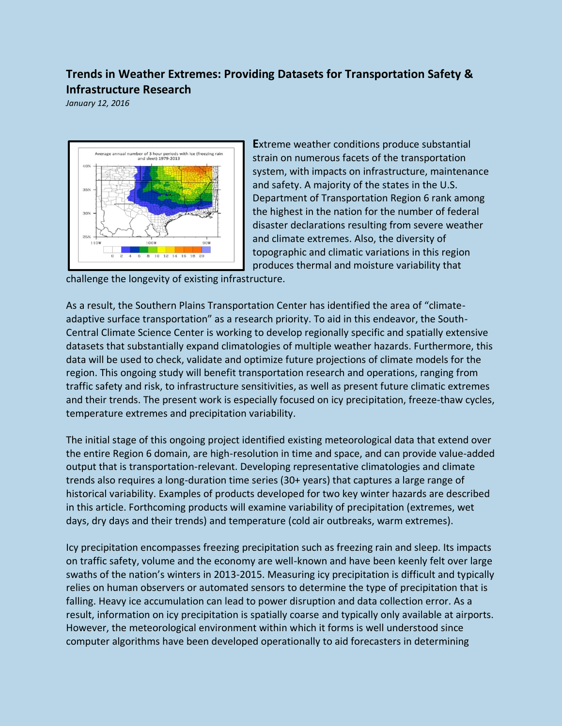## **Trends in Weather Extremes: Providing Datasets for Transportation Safety & Infrastructure Research**

*January 12, 2016*



**E**xtreme weather conditions produce substantial strain on numerous facets of the transportation system, with impacts on infrastructure, maintenance and safety. A majority of the states in the U.S. Department of Transportation Region 6 rank among the highest in the nation for the number of federal disaster declarations resulting from severe weather and climate extremes. Also, the diversity of topographic and climatic variations in this region produces thermal and moisture variability that

challenge the longevity of existing infrastructure.

As a result, the Southern Plains Transportation Center has identified the area of "climateadaptive surface transportation" as a research priority. To aid in this endeavor, the South-Central Climate Science Center is working to develop regionally specific and spatially extensive datasets that substantially expand climatologies of multiple weather hazards. Furthermore, this data will be used to check, validate and optimize future projections of climate models for the region. This ongoing study will benefit transportation research and operations, ranging from traffic safety and risk, to infrastructure sensitivities, as well as present future climatic extremes and their trends. The present work is especially focused on icy precipitation, freeze-thaw cycles, temperature extremes and precipitation variability.

The initial stage of this ongoing project identified existing meteorological data that extend over the entire Region 6 domain, are high-resolution in time and space, and can provide value-added output that is transportation-relevant. Developing representative climatologies and climate trends also requires a long-duration time series (30+ years) that captures a large range of historical variability. Examples of products developed for two key winter hazards are described in this article. Forthcoming products will examine variability of precipitation (extremes, wet days, dry days and their trends) and temperature (cold air outbreaks, warm extremes).

Icy precipitation encompasses freezing precipitation such as freezing rain and sleep. Its impacts on traffic safety, volume and the economy are well-known and have been keenly felt over large swaths of the nation's winters in 2013-2015. Measuring icy precipitation is difficult and typically relies on human observers or automated sensors to determine the type of precipitation that is falling. Heavy ice accumulation can lead to power disruption and data collection error. As a result, information on icy precipitation is spatially coarse and typically only available at airports. However, the meteorological environment within which it forms is well understood since computer algorithms have been developed operationally to aid forecasters in determining